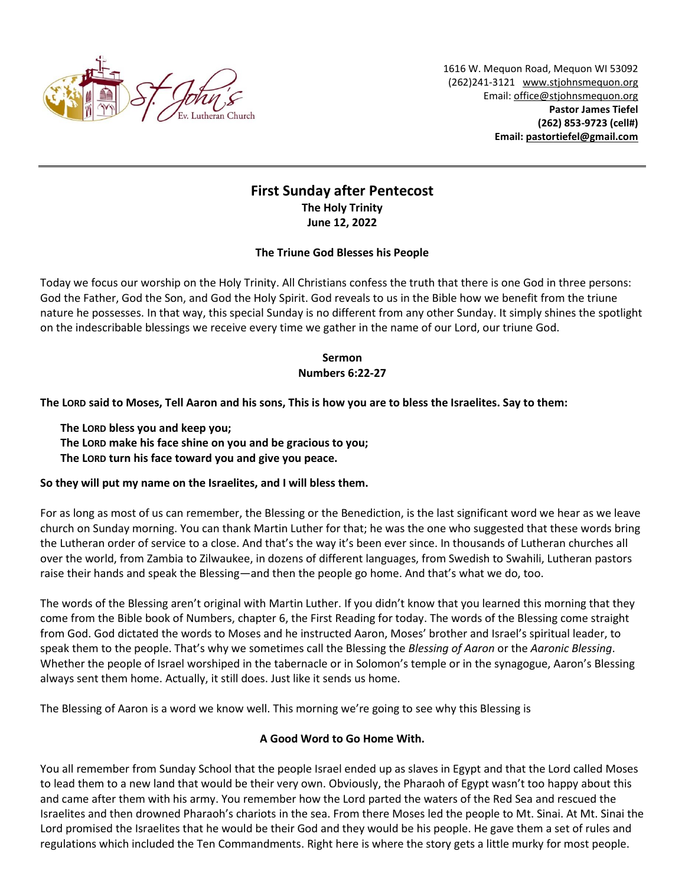

1616 W. Mequon Road, Mequon WI 53092 (262)241-3121 [www.stjohnsmequon.org](http://www.stjohnsmequon.org/) Email[: office@stjohnsmequon.org](mailto:office@stjohnsmequon.org) **Pastor James Tiefel (262) 853-9723 (cell#) Email: [pastortiefel@gmail.com](mailto:pastortiefel@gmail.com)**

# **First Sunday after Pentecost The Holy Trinity June 12, 2022**

### **The Triune God Blesses his People**

Today we focus our worship on the Holy Trinity. All Christians confess the truth that there is one God in three persons: God the Father, God the Son, and God the Holy Spirit. God reveals to us in the Bible how we benefit from the triune nature he possesses. In that way, this special Sunday is no different from any other Sunday. It simply shines the spotlight on the indescribable blessings we receive every time we gather in the name of our Lord, our triune God.

## **Sermon Numbers 6:22-27**

**The LORD said to Moses, Tell Aaron and his sons, This is how you are to bless the Israelites. Say to them:** 

- **The LORD bless you and keep you;**
- **The LORD make his face shine on you and be gracious to you;**
- **The LORD turn his face toward you and give you peace.**

### **So they will put my name on the Israelites, and I will bless them.**

For as long as most of us can remember, the Blessing or the Benediction, is the last significant word we hear as we leave church on Sunday morning. You can thank Martin Luther for that; he was the one who suggested that these words bring the Lutheran order of service to a close. And that's the way it's been ever since. In thousands of Lutheran churches all over the world, from Zambia to Zilwaukee, in dozens of different languages, from Swedish to Swahili, Lutheran pastors raise their hands and speak the Blessing—and then the people go home. And that's what we do, too.

The words of the Blessing aren't original with Martin Luther. If you didn't know that you learned this morning that they come from the Bible book of Numbers, chapter 6, the First Reading for today. The words of the Blessing come straight from God. God dictated the words to Moses and he instructed Aaron, Moses' brother and Israel's spiritual leader, to speak them to the people. That's why we sometimes call the Blessing the *Blessing of Aaron* or the *Aaronic Blessing*. Whether the people of Israel worshiped in the tabernacle or in Solomon's temple or in the synagogue, Aaron's Blessing always sent them home. Actually, it still does. Just like it sends us home.

The Blessing of Aaron is a word we know well. This morning we're going to see why this Blessing is

### **A Good Word to Go Home With.**

You all remember from Sunday School that the people Israel ended up as slaves in Egypt and that the Lord called Moses to lead them to a new land that would be their very own. Obviously, the Pharaoh of Egypt wasn't too happy about this and came after them with his army. You remember how the Lord parted the waters of the Red Sea and rescued the Israelites and then drowned Pharaoh's chariots in the sea. From there Moses led the people to Mt. Sinai. At Mt. Sinai the Lord promised the Israelites that he would be their God and they would be his people. He gave them a set of rules and regulations which included the Ten Commandments. Right here is where the story gets a little murky for most people.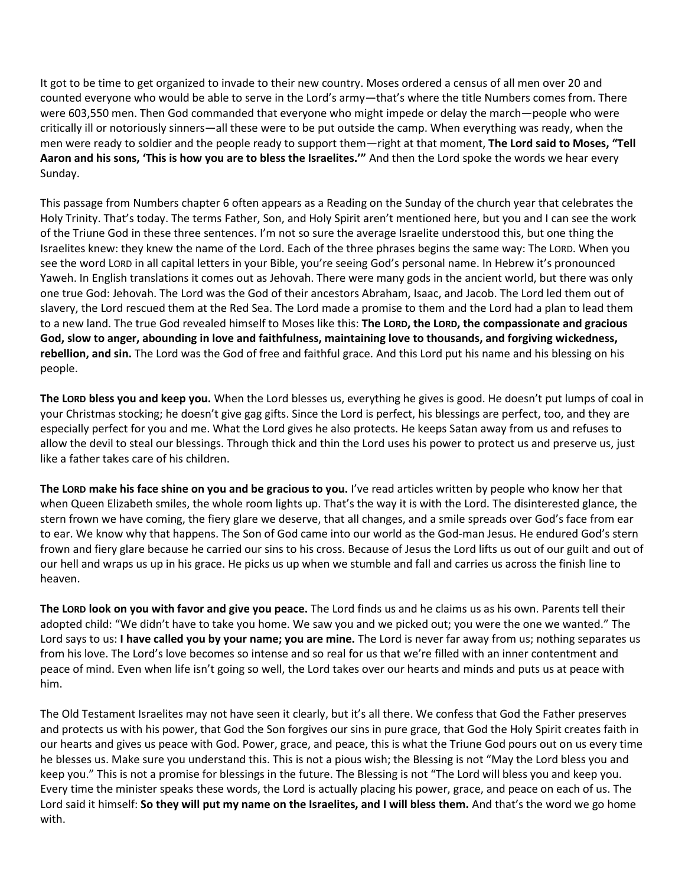It got to be time to get organized to invade to their new country. Moses ordered a census of all men over 20 and counted everyone who would be able to serve in the Lord's army—that's where the title Numbers comes from. There were 603,550 men. Then God commanded that everyone who might impede or delay the march—people who were critically ill or notoriously sinners—all these were to be put outside the camp. When everything was ready, when the men were ready to soldier and the people ready to support them—right at that moment, **The Lord said to Moses, "Tell Aaron and his sons, 'This is how you are to bless the Israelites.'"** And then the Lord spoke the words we hear every Sunday.

This passage from Numbers chapter 6 often appears as a Reading on the Sunday of the church year that celebrates the Holy Trinity. That's today. The terms Father, Son, and Holy Spirit aren't mentioned here, but you and I can see the work of the Triune God in these three sentences. I'm not so sure the average Israelite understood this, but one thing the Israelites knew: they knew the name of the Lord. Each of the three phrases begins the same way: The LORD. When you see the word LORD in all capital letters in your Bible, you're seeing God's personal name. In Hebrew it's pronounced Yaweh. In English translations it comes out as Jehovah. There were many gods in the ancient world, but there was only one true God: Jehovah. The Lord was the God of their ancestors Abraham, Isaac, and Jacob. The Lord led them out of slavery, the Lord rescued them at the Red Sea. The Lord made a promise to them and the Lord had a plan to lead them to a new land. The true God revealed himself to Moses like this: **The LORD, the LORD, the compassionate and gracious God, slow to anger, abounding in love and faithfulness, maintaining love to thousands, and forgiving wickedness, rebellion, and sin.** The Lord was the God of free and faithful grace. And this Lord put his name and his blessing on his people.

**The LORD bless you and keep you.** When the Lord blesses us, everything he gives is good. He doesn't put lumps of coal in your Christmas stocking; he doesn't give gag gifts. Since the Lord is perfect, his blessings are perfect, too, and they are especially perfect for you and me. What the Lord gives he also protects. He keeps Satan away from us and refuses to allow the devil to steal our blessings. Through thick and thin the Lord uses his power to protect us and preserve us, just like a father takes care of his children.

**The LORD make his face shine on you and be gracious to you.** I've read articles written by people who know her that when Queen Elizabeth smiles, the whole room lights up. That's the way it is with the Lord. The disinterested glance, the stern frown we have coming, the fiery glare we deserve, that all changes, and a smile spreads over God's face from ear to ear. We know why that happens. The Son of God came into our world as the God-man Jesus. He endured God's stern frown and fiery glare because he carried our sins to his cross. Because of Jesus the Lord lifts us out of our guilt and out of our hell and wraps us up in his grace. He picks us up when we stumble and fall and carries us across the finish line to heaven.

**The LORD look on you with favor and give you peace.** The Lord finds us and he claims us as his own. Parents tell their adopted child: "We didn't have to take you home. We saw you and we picked out; you were the one we wanted." The Lord says to us: **I have called you by your name; you are mine.** The Lord is never far away from us; nothing separates us from his love. The Lord's love becomes so intense and so real for us that we're filled with an inner contentment and peace of mind. Even when life isn't going so well, the Lord takes over our hearts and minds and puts us at peace with him.

The Old Testament Israelites may not have seen it clearly, but it's all there. We confess that God the Father preserves and protects us with his power, that God the Son forgives our sins in pure grace, that God the Holy Spirit creates faith in our hearts and gives us peace with God. Power, grace, and peace, this is what the Triune God pours out on us every time he blesses us. Make sure you understand this. This is not a pious wish; the Blessing is not "May the Lord bless you and keep you." This is not a promise for blessings in the future. The Blessing is not "The Lord will bless you and keep you. Every time the minister speaks these words, the Lord is actually placing his power, grace, and peace on each of us. The Lord said it himself: **So they will put my name on the Israelites, and I will bless them.** And that's the word we go home with.